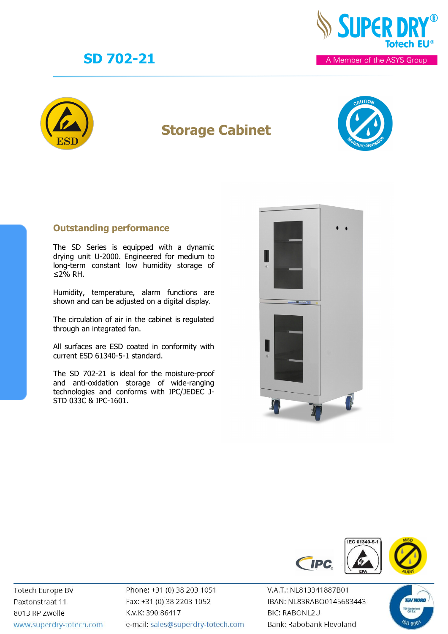



## **Storage Cabinet**



#### **Outstanding performance**

The SD Series is equipped with a dynamic drying unit U-2000. Engineered for medium to long-term constant low humidity storage of ≤2% RH.

Humidity, temperature, alarm functions are shown and can be adjusted on a digital display.

The circulation of air in the cabinet is regulated through an integrated fan.

All surfaces are ESD coated in conformity with current ESD 61340-5-1 standard.

The SD 702-21 is ideal for the moisture-proof and anti-oxidation storage of wide-ranging technologies and conforms with IPC/JEDEC J-STD 033C & IPC-1601.





Totech Europe BV Paxtonstraat 11 8013 RP Zwolle www.superdry-totech.com Phone: +31 (0) 38 203 1051 Fax: +31 (0) 38 2203 1052 K.v.K: 390 86417 e-mail: sales@superdry-totech.com

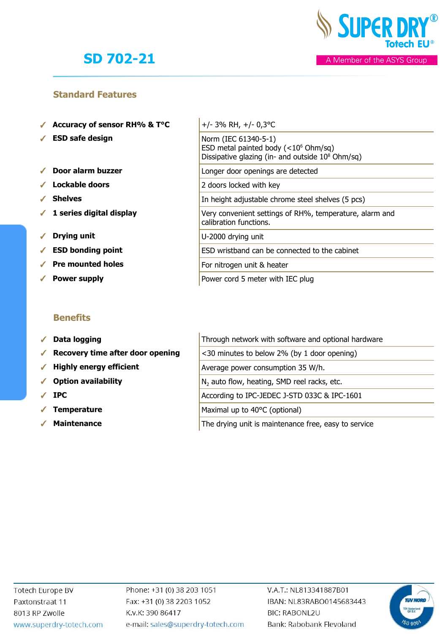

#### **Standard Features**

- ✓ **Accuracy of sensor RH% & T°C** +/- 3% RH, +/- 0,3°C
- ✓ **ESD safe design** Norm (IEC 61340-5-1)
- ✓ **Door alarm buzzer** Longer door openings are detected
- ✓ **Lockable doors** 2 doors locked with key
- ✓ **Shelves** In height adjustable chrome steel shelves (5 pcs)
- ✔ 1 series digital display
- ✓ **Drying unit** U-2000 drying unit
- ✔ **ESD** bonding point
- ✓ **Pre mounted holes** For nitrogen unit & heater
- **✓ Power supply** Power supply

#### **Benefits**

- √ Data logging
- ◆ Recovery time after door opening
- ◆ Highly energy efficient
- √ Option availability
- 
- **Temperature**
- 

| $+/- 3\%$ RH, $+/- 0.3$ °C                                                                                                     |
|--------------------------------------------------------------------------------------------------------------------------------|
| Norm (IEC 61340-5-1)<br>ESD metal painted body $(<106 Ohm/sq)$<br>Dissipative glazing (in- and outside 10 <sup>8</sup> Ohm/sq) |
| Longer door openings are detected                                                                                              |
| 2 doors locked with key                                                                                                        |
| In height adjustable chrome steel shelves (5 pcs)                                                                              |
| Very convenient settings of RH%, temperature, alarm and<br>calibration functions.                                              |
| U-2000 drying unit                                                                                                             |
| ESD wristband can be connected to the cabinet                                                                                  |
| For nitrogen unit & heater                                                                                                     |
| Power cord 5 meter with IEC plug                                                                                               |

|   | $\checkmark$ Data logging                             | Through network with software and optional hardware     |
|---|-------------------------------------------------------|---------------------------------------------------------|
|   | $\sqrt{\phantom{a}}$ Recovery time after door opening | <30 minutes to below 2% (by 1 door opening)             |
|   | $\checkmark$ Highly energy efficient                  | Average power consumption 35 W/h.                       |
|   | ✔ Option availability                                 | N <sub>2</sub> auto flow, heating, SMD reel racks, etc. |
|   | $\sqrt{P}$ IPC                                        | According to IPC-JEDEC J-STD 033C & IPC-1601            |
| ✔ | <b>Temperature</b>                                    | Maximal up to 40°C (optional)                           |

**■ Maintenance** The drying unit is maintenance free, easy to service

Phone: +31 (0) 38 203 1051 Fax: +31 (0) 38 2203 1052 K.v.K: 390 86417 e-mail: sales@superdry-totech.com

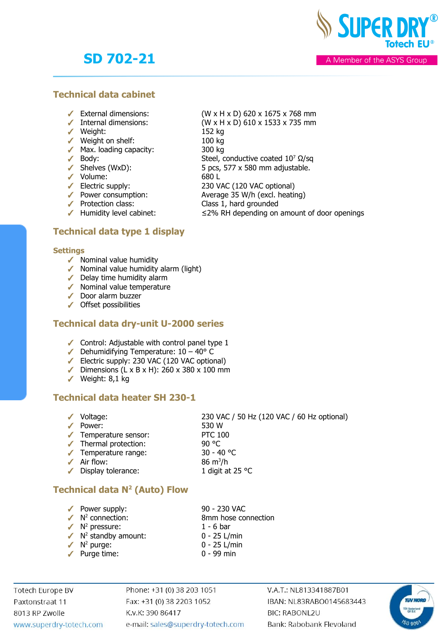**SUPER DR** 

A Member of the ASYS Group

#### **Technical data cabinet**

- 
- 
- ✓ Weight: 152 kg
- ✓ Weight on shelf: 100 kg
- ✓ Max. loading capacity: 300 kg
- 
- 
- 
- 
- SHERES (WAD).<br>
 Volume: 680 L<br>
 Electric supply: 680 L<br>
 Power consumption: Avera
- 
- 

### **Technical data type 1 display**

#### **Settings**

- $\checkmark$  Nominal value humidity
- ✓ Nominal value humidity alarm (light)
- ✓ Delay time humidity alarm
- ✓ Nominal value temperature
- ✓ Door alarm buzzer
- ✓ Offset possibilities

#### **Technical data dry-unit U-2000 series**

- ✓ Control: Adjustable with control panel type 1
- $\blacktriangleright$  Dehumidifying Temperature:  $10 40^{\circ}$  C
- ✓ Electric supply: 230 VAC (120 VAC optional)
- ✓ Dimensions (L x B x H): 260 x 380 x 100 mm
- ✓ Weight: 8,1 kg

### **Technical data heater SH 230-1**

✓ Voltage: 230 VAC / 50 Hz (120 VAC / 60 Hz optional) ✓ Power: 530 W ✓ Temperature sensor: PTC 100 ✓ Thermal protection: 90 °C ✓ Temperature range: 30 - 40 °C  $\angle$  Air flow: 86 m<sup>3</sup>/h ✓ Display tolerance: 1 digit at 25 °C

### **Technical data N<sup>2</sup> (Auto) Flow**

- ✓ Power supply: 90 230 VAC
- $\sqrt{N^2}$  connection:
- 
- 
- 
- 
- 8mm hose connection
- $\sqrt{N^2}$  pressure: 1 6 bar
- $\sqrt{N^2}$  standby amount:  $0 25$  L/min
- $\checkmark$  N<sup>2</sup> purge:
	-
- 0 25 L/min
- ✓ Purge time: 0 99 min

**Totech Europe BV** Paxtonstraat 11 8013 RP Zwolle www.superdry-totech.com Phone: +31 (0) 38 203 1051 Fax: +31 (0) 38 2203 1052 K.v.K: 390 86417 e-mail: sales@superdry-totech.com V.A.T.: NL813341887B01 IBAN: NL83RABO0145683443 **BIC: RABONL2U** Bank: Rabobank Flevoland



- ✓ Protection class: Class 1, hard grounded  $\blacktriangleright$  Humidity level cabinet:  $\leq$  2% RH depending on amount of door openings
- 

(W x H x D) 610 x 1533 x 735 mm

- $\sqrt{\phantom{a}}$  Body: Steel, conductive coated  $10^7 \Omega/\text{sq}$
- $\checkmark$  Shelves (WxD): 5 pcs, 577 x 580 mm adjustable.
	-
	- 230 VAC (120 VAC optional)
		- Average 35 W/h (excl. heating)
			-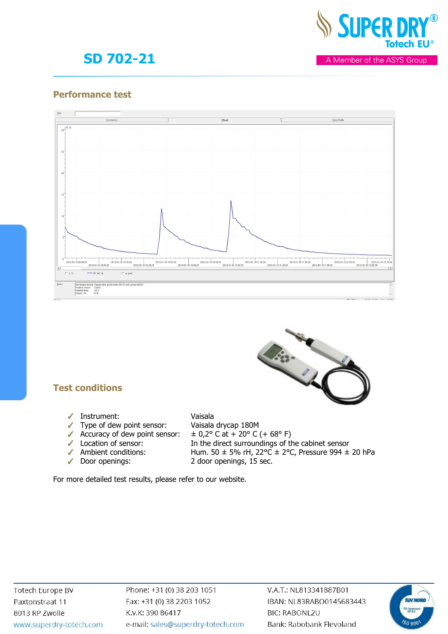

A Member of the ASYS Group

#### **Performance test**





### **Test conditions**

- ✓ Instrument: Vaisala
- ✓ Type of dew point sensor: Vaisala drycap 180M
- 
- 
- 
- 

- 
- Accuracy of dew point sensor:  $\pm 0.2^{\circ}$  C at + 20° C (+ 68° F)<br>
Location of sensor: In the direct surroundings of th<br>
Ambient conditions: Hum. 50  $\pm$  5% rH, 22°C  $\pm$  2°C In the direct surroundings of the cabinet sensor Hum. 50  $\pm$  5% rH, 22°C  $\pm$  2°C, Pressure 994  $\pm$  20 hPa
- ✓ Door openings: 2 door openings, 15 sec.

For more detailed test results, please refer to our website.

Phone: +31 (0) 38 203 1051 Fax: +31 (0) 38 2203 1052 K.v.K: 390 86417 e-mail: sales@superdry-totech.com

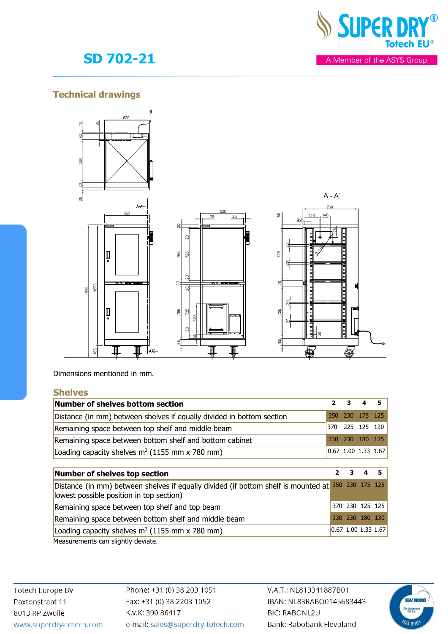

### **Technical drawings**



Dimensions mentioned in mm.

#### **Shelves**

| Number of shelves bottom section                                      | $2 \quad 3 \quad 4 \quad 5$ |                                                           |
|-----------------------------------------------------------------------|-----------------------------|-----------------------------------------------------------|
| Distance (in mm) between shelves if equally divided in bottom section | 350 230 175 125             |                                                           |
| Remaining space between top shelf and middle beam                     |                             | 370 225 125 120                                           |
| Remaining space between bottom shelf and bottom cabinet               | 330 230 180 125             |                                                           |
| Loading capacity shelves $m^2$ (1155 mm x 780 mm)                     |                             | $\begin{bmatrix} 0.67 & 1.00 & 1.33 & 1.67 \end{bmatrix}$ |

| Number of shelves top section                                                                                                                  |                                  | $2 \quad 3 \quad 4 \quad 5$ |  |
|------------------------------------------------------------------------------------------------------------------------------------------------|----------------------------------|-----------------------------|--|
| Distance (in mm) between shelves if equally divided (if bottom shelf is mounted at 350 230 175 125<br>lowest possible position in top section) |                                  |                             |  |
| Remaining space between top shelf and top beam                                                                                                 |                                  | 370 230 125 125             |  |
| Remaining space between bottom shelf and middle beam                                                                                           |                                  | 330 230 180 130             |  |
| Loading capacity shelves $m^2$ (1155 mm x 780 mm)                                                                                              | $[0.67 \; 1.00 \; 1.33 \; 1.67]$ |                             |  |

Measurements can slightly deviate.

**Totech Europe BV** Paxtonstraat 11 8013 RP Zwolle www.superdry-totech.com Phone: +31 (0) 38 203 1051 Fax: +31 (0) 38 2203 1052 K.v.K: 390 86417 e-mail: sales@superdry-totech.com

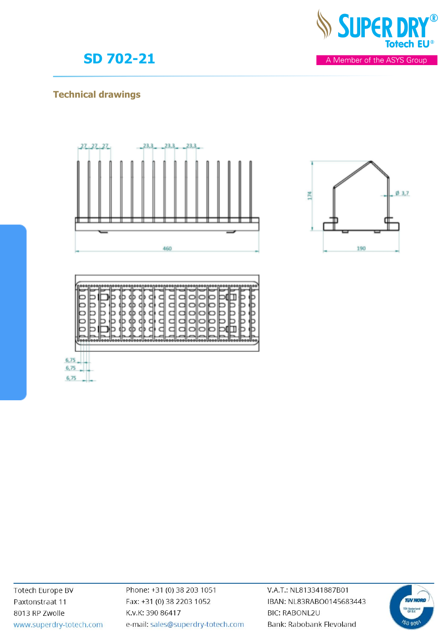

### **Technical drawings**



C

C

∍





6,75  $6,75$  $6,75$ 

> Phone: +31 (0) 38 203 1051 Fax: +31 (0) 38 2203 1052 K.v.K: 390 86417 e-mail: sales@superdry-totech.com

V.A.T.: NL813341887B01 IBAN: NL83RABO0145683443 **BIC: RABONL2U** Bank: Rabobank Flevoland





A Member of the ASYS Group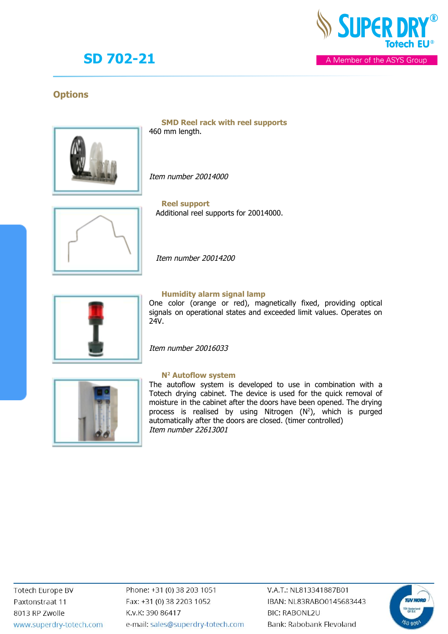

A Member of the ASYS Group

### **Options**



**SMD Reel rack with reel supports** 460 mm length.

Item number 20014000



**Reel support** Additional reel supports for 20014000.

Item number 20014200



#### **Humidity alarm signal lamp**

One color (orange or red), magnetically fixed, providing optical signals on operational states and exceeded limit values. Operates on 24V.

Item number 20016033



#### **N2 Autoflow system**

The autoflow system is developed to use in combination with a Totech drying cabinet. The device is used for the quick removal of moisture in the cabinet after the doors have been opened. The drying process is realised by using Nitrogen (N 2), which is purged automatically after the doors are closed. (timer controlled) Item number 22613001

Phone: +31 (0) 38 203 1051 Fax: +31 (0) 38 2203 1052 K.v.K: 390 86417 e-mail: sales@superdry-totech.com